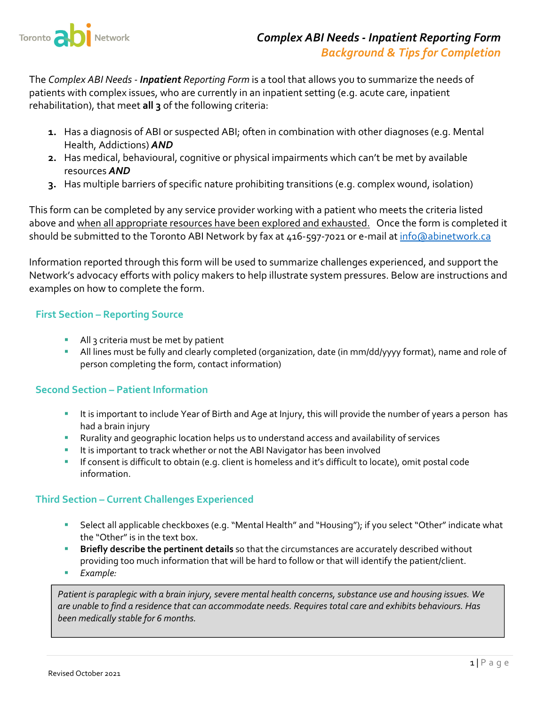

The *Complex ABI Needs ‐ Inpatient Reporting Form* is a tool that allows you to summarize the needs of patients with complex issues, who are currently in an inpatient setting (e.g. acute care, inpatient rehabilitation), that meet **all 3** of the following criteria:

- **1.** Has a diagnosis of ABI or suspected ABI; often in combination with other diagnoses (e.g. Mental Health, Addictions) *AND*
- **2.** Has medical, behavioural, cognitive or physical impairments which can't be met by available resources *AND*
- **3.** Has multiple barriers of specific nature prohibiting transitions (e.g. complex wound, isolation)

This form can be completed by any service provider working with a patient who meets the criteria listed above and when all appropriate resources have been explored and exhausted. Once the form is completed it should be submitted to the Toronto ABI Network by fax at 416-597-7021 or e-mail at info@abinetwork.ca

Information reported through this form will be used to summarize challenges experienced, and support the Network's advocacy efforts with policy makers to help illustrate system pressures. Below are instructions and examples on how to complete the form.

## **First Section – Reporting Source**

- All 3 criteria must be met by patient
- All lines must be fully and clearly completed (organization, date (in mm/dd/yyyy format), name and role of person completing the form, contact information)

# **Second Section – Patient Information**

- It is important to include Year of Birth and Age at Injury, this will provide the number of years a person has had a brain injury
- Rurality and geographic location helps us to understand access and availability of services
- It is important to track whether or not the ABI Navigator has been involved
- If consent is difficult to obtain (e.g. client is homeless and it's difficult to locate), omit postal code information.

### **Third Section – Current Challenges Experienced**

- Select all applicable checkboxes (e.g. "Mental Health" and "Housing"); if you select "Other" indicate what the "Other" is in the text box.
- **Briefly describe the pertinent details** so that the circumstances are accurately described without providing too much information that will be hard to follow or that will identify the patient/client.
- *Example:*

*Patient is paraplegic with a brain injury, severe mental health concerns,substance use and housing issues. We* are unable to find a residence that can accommodate needs. Requires total care and exhibits behaviours. Has *been medically stable for 6 months.*